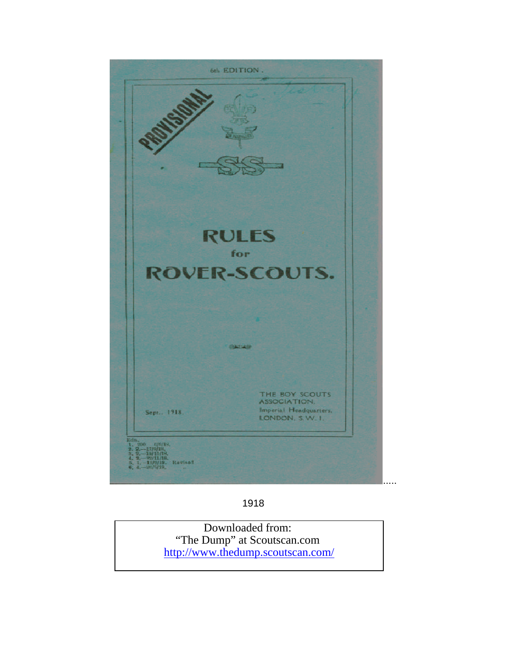

1918

Downloaded from: "The Dump" at Scoutscan.com <http://www.thedump.scoutscan.com/>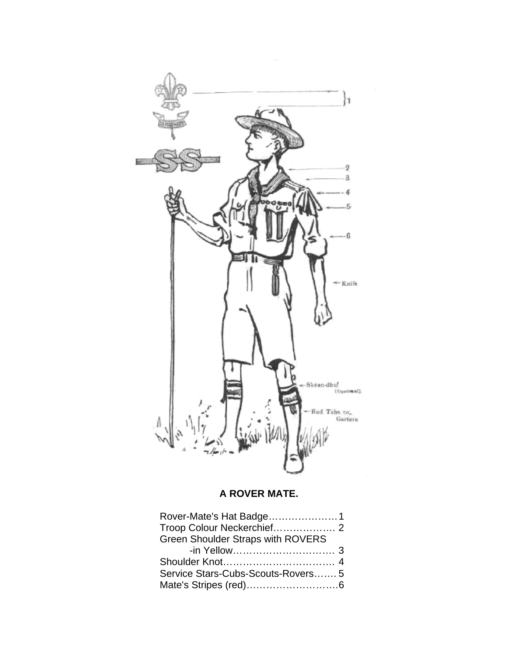

## **A ROVER MATE.**

| Green Shoulder Straps with ROVERS |  |
|-----------------------------------|--|
|                                   |  |
|                                   |  |
| Service Stars-Cubs-Scouts-Rovers5 |  |
|                                   |  |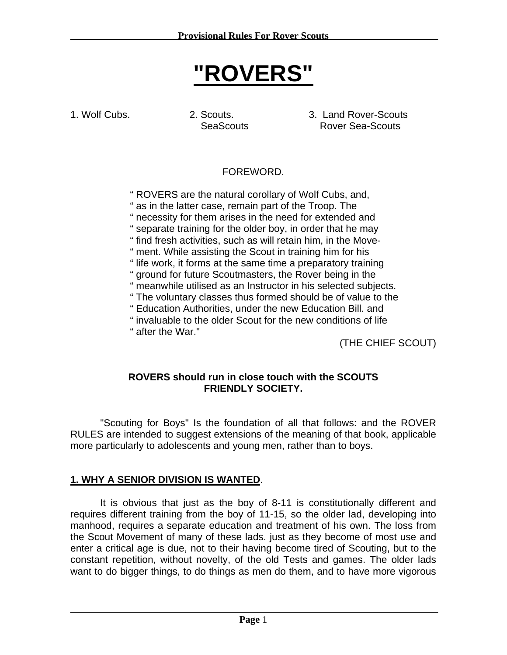# **"ROVERS"**

1. Wolf Cubs. 2. Scouts. 3. Land Rover-Scouts SeaScouts Rover Sea-Scouts

## FOREWORD.

" ROVERS are the natural corollary of Wolf Cubs, and,

" as in the latter case, remain part of the Troop. The

" necessity for them arises in the need for extended and

" separate training for the older boy, in order that he may

" find fresh activities, such as will retain him, in the Move-

" ment. While assisting the Scout in training him for his

" life work, it forms at the same time a preparatory training

" ground for future Scoutmasters, the Rover being in the

" meanwhile utilised as an Instructor in his selected subjects.

- " The voluntary classes thus formed should be of value to the
- " Education Authorities, under the new Education Bill. and

" invaluable to the older Scout for the new conditions of life " after the War."

(THE CHIEF SCOUT)

#### **ROVERS should run in close touch with the SCOUTS FRIENDLY SOCIETY.**

"Scouting for Boys" Is the foundation of all that follows: and the ROVER RULES are intended to suggest extensions of the meaning of that book, applicable more particularly to adolescents and young men, rather than to boys.

## **1. WHY A SENIOR DIVISION IS WANTED**.

It is obvious that just as the boy of 8-11 is constitutionally different and requires different training from the boy of 11-15, so the older lad, developing into manhood, requires a separate education and treatment of his own. The loss from the Scout Movement of many of these lads. just as they become of most use and enter a critical age is due, not to their having become tired of Scouting, but to the constant repetition, without novelty, of the old Tests and games. The older lads want to do bigger things, to do things as men do them, and to have more vigorous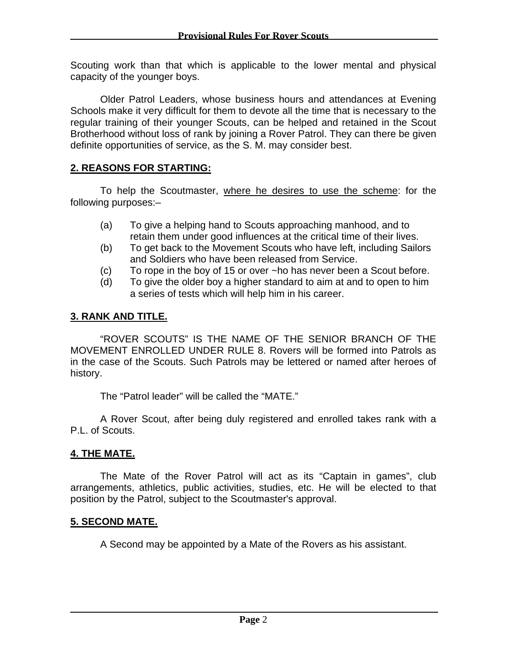Scouting work than that which is applicable to the lower mental and physical capacity of the younger boys.

Older Patrol Leaders, whose business hours and attendances at Evening Schools make it very difficult for them to devote all the time that is necessary to the regular training of their younger Scouts, can be helped and retained in the Scout Brotherhood without loss of rank by joining a Rover Patrol. They can there be given definite opportunities of service, as the S. M. may consider best.

## **2. REASONS FOR STARTING:**

To help the Scoutmaster, where he desires to use the scheme: for the following purposes:–

- (a) To give a helping hand to Scouts approaching manhood, and to retain them under good influences at the critical time of their lives.
- (b) To get back to the Movement Scouts who have left, including Sailors and Soldiers who have been released from Service.
- (c) To rope in the boy of 15 or over ~ho has never been a Scout before.
- (d) To give the older boy a higher standard to aim at and to open to him a series of tests which will help him in his career.

### **3. RANK AND TITLE.**

"ROVER SCOUTS" IS THE NAME OF THE SENIOR BRANCH OF THE MOVEMENT ENROLLED UNDER RULE 8. Rovers will be formed into Patrols as in the case of the Scouts. Such Patrols may be lettered or named after heroes of history.

The "Patrol leader" will be called the "MATE."

A Rover Scout, after being duly registered and enrolled takes rank with a P.L. of Scouts.

#### **4. THE MATE.**

The Mate of the Rover Patrol will act as its "Captain in games", club arrangements, athletics, public activities, studies, etc. He will be elected to that position by the Patrol, subject to the Scoutmaster's approval.

## **5. SECOND MATE.**

A Second may be appointed by a Mate of the Rovers as his assistant.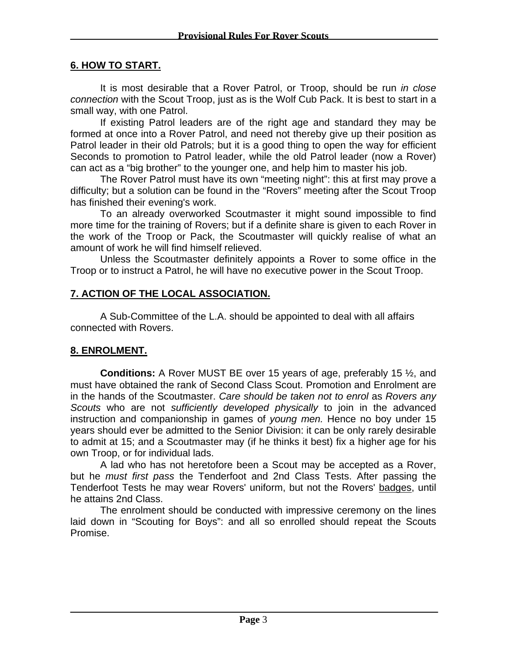#### **6. HOW TO START.**

It is most desirable that a Rover Patrol, or Troop, should be run *in close connection* with the Scout Troop, just as is the Wolf Cub Pack. It is best to start in a small way, with one Patrol.

If existing Patrol leaders are of the right age and standard they may be formed at once into a Rover Patrol, and need not thereby give up their position as Patrol leader in their old Patrols; but it is a good thing to open the way for efficient Seconds to promotion to Patrol leader, while the old Patrol leader (now a Rover) can act as a "big brother" to the younger one, and help him to master his job.

The Rover Patrol must have its own "meeting night": this at first may prove a difficulty; but a solution can be found in the "Rovers" meeting after the Scout Troop has finished their evening's work.

To an already overworked Scoutmaster it might sound impossible to find more time for the training of Rovers; but if a definite share is given to each Rover in the work of the Troop or Pack, the Scoutmaster will quickly realise of what an amount of work he will find himself relieved.

Unless the Scoutmaster definitely appoints a Rover to some office in the Troop or to instruct a Patrol, he will have no executive power in the Scout Troop.

#### **7. ACTION OF THE LOCAL ASSOCIATION.**

A Sub-Committee of the L.A. should be appointed to deal with all affairs connected with Rovers.

#### **8. ENROLMENT.**

**Conditions:** A Rover MUST BE over 15 years of age, preferably 15 ½, and must have obtained the rank of Second Class Scout. Promotion and Enrolment are in the hands of the Scoutmaster. *Care should be taken not to enrol* as *Rovers any Scouts* who are not *sufficiently developed physically* to join in the advanced instruction and companionship in games of *young men.* Hence no boy under 15 years should ever be admitted to the Senior Division: it can be only rarely desirable to admit at 15; and a Scoutmaster may (if he thinks it best) fix a higher age for his own Troop, or for individual lads.

A lad who has not heretofore been a Scout may be accepted as a Rover, but he *must first pass* the Tenderfoot and 2nd Class Tests. After passing the Tenderfoot Tests he may wear Rovers' uniform, but not the Rovers' badges, until he attains 2nd Class.

The enrolment should be conducted with impressive ceremony on the lines laid down in "Scouting for Boys": and all so enrolled should repeat the Scouts Promise.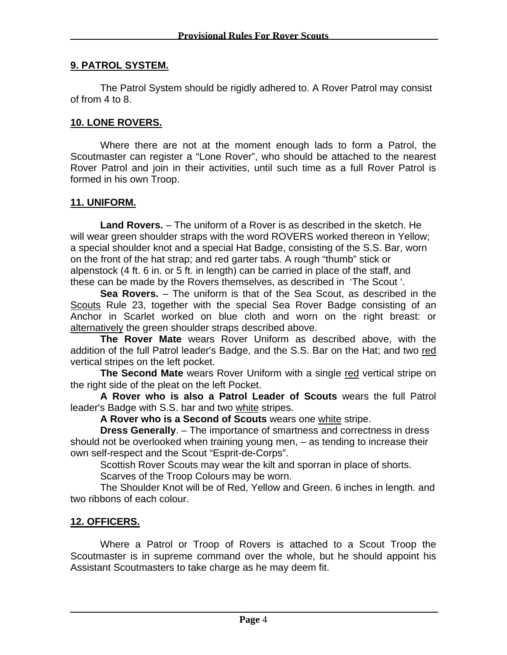#### **9. PATROL SYSTEM.**

The Patrol System should be rigidly adhered to. A Rover Patrol may consist of from 4 to 8.

#### **10. LONE ROVERS.**

Where there are not at the moment enough lads to form a Patrol, the Scoutmaster can register a "Lone Rover", who should be attached to the nearest Rover Patrol and join in their activities, until such time as a full Rover Patrol is formed in his own Troop.

#### **11. UNIFORM.**

**Land Rovers.** – The uniform of a Rover is as described in the sketch. He will wear green shoulder straps with the word ROVERS worked thereon in Yellow; a special shoulder knot and a special Hat Badge, consisting of the S.S. Bar, worn on the front of the hat strap; and red garter tabs. A rough "thumb" stick or alpenstock (4 ft. 6 in. or 5 ft. in length) can be carried in place of the staff, and these can be made by the Rovers themselves, as described in 'The Scout '.

**Sea Rovers.** – The uniform is that of the Sea Scout, as described in the Scouts Rule 23, together with the special Sea Rover Badge consisting of an Anchor in Scarlet worked on blue cloth and worn on the right breast: or alternatively the green shoulder straps described above.

**The Rover Mate** wears Rover Uniform as described above, with the addition of the full Patrol leader's Badge, and the S.S. Bar on the Hat; and two red vertical stripes on the left pocket.

**The Second Mate** wears Rover Uniform with a single red vertical stripe on the right side of the pleat on the left Pocket.

**A Rover who is also a Patrol Leader of Scouts** wears the full Patrol leader's Badge with S.S. bar and two white stripes.

**A Rover who is a Second of Scouts** wears one white stripe.

**Dress Generally**. – The importance of smartness and correctness in dress should not be overlooked when training young men, – as tending to increase their own self-respect and the Scout "Esprit-de-Corps".

Scottish Rover Scouts may wear the kilt and sporran in place of shorts.

Scarves of the Troop Colours may be worn.

The Shoulder Knot will be of Red, Yellow and Green. 6 inches in length. and two ribbons of each colour.

#### **12. OFFICERS.**

Where a Patrol or Troop of Rovers is attached to a Scout Troop the Scoutmaster is in supreme command over the whole, but he should appoint his Assistant Scoutmasters to take charge as he may deem fit.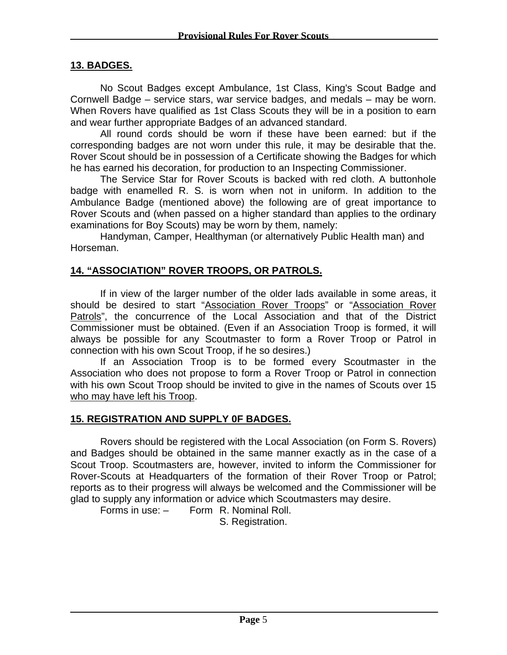#### **13. BADGES.**

No Scout Badges except Ambulance, 1st Class, King's Scout Badge and Cornwell Badge – service stars, war service badges, and medals – may be worn. When Rovers have qualified as 1st Class Scouts they will be in a position to earn and wear further appropriate Badges of an advanced standard.

All round cords should be worn if these have been earned: but if the corresponding badges are not worn under this rule, it may be desirable that the. Rover Scout should be in possession of a Certificate showing the Badges for which he has earned his decoration, for production to an Inspecting Commissioner.

The Service Star for Rover Scouts is backed with red cloth. A buttonhole badge with enamelled R. S. is worn when not in uniform. In addition to the Ambulance Badge (mentioned above) the following are of great importance to Rover Scouts and (when passed on a higher standard than applies to the ordinary examinations for Boy Scouts) may be worn by them, namely:

Handyman, Camper, Healthyman (or alternatively Public Health man) and Horseman.

#### **14. "ASSOCIATION" ROVER TROOPS, OR PATROLS.**

If in view of the larger number of the older lads available in some areas, it should be desired to start "Association Rover Troops" or "Association Rover Patrols", the concurrence of the Local Association and that of the District Commissioner must be obtained. (Even if an Association Troop is formed, it will always be possible for any Scoutmaster to form a Rover Troop or Patrol in connection with his own Scout Troop, if he so desires.)

If an Association Troop is to be formed every Scoutmaster in the Association who does not propose to form a Rover Troop or Patrol in connection with his own Scout Troop should be invited to give in the names of Scouts over 15 who may have left his Troop.

#### **15. REGISTRATION AND SUPPLY 0F BADGES.**

Rovers should be registered with the Local Association (on Form S. Rovers) and Badges should be obtained in the same manner exactly as in the case of a Scout Troop. Scoutmasters are, however, invited to inform the Commissioner for Rover-Scouts at Headquarters of the formation of their Rover Troop or Patrol; reports as to their progress will always be welcomed and the Commissioner will be glad to supply any information or advice which Scoutmasters may desire.

Forms in use: – Form R. Nominal Roll.

S. Registration.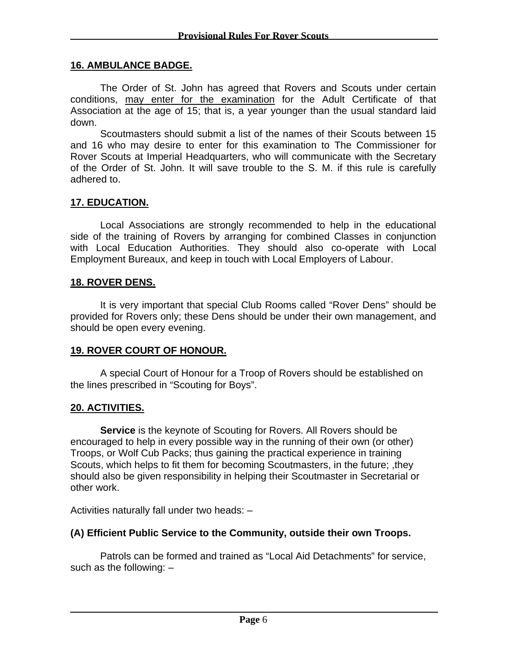#### **16. AMBULANCE BADGE.**

The Order of St. John has agreed that Rovers and Scouts under certain conditions, may enter for the examination for the Adult Certificate of that Association at the age of 15; that is, a year younger than the usual standard laid down.

Scoutmasters should submit a list of the names of their Scouts between 15 and 16 who may desire to enter for this examination to The Commissioner for Rover Scouts at Imperial Headquarters, who will communicate with the Secretary of the Order of St. John. It will save trouble to the S. M. if this rule is carefully adhered to.

#### **17. EDUCATION.**

Local Associations are strongly recommended to help in the educational side of the training of Rovers by arranging for combined Classes in conjunction with Local Education Authorities. They should also co-operate with Local Employment Bureaux, and keep in touch with Local Employers of Labour.

#### **18. ROVER DENS.**

It is very important that special Club Rooms called "Rover Dens" should be provided for Rovers only; these Dens should be under their own management, and should be open every evening.

#### **19. ROVER COURT OF HONOUR.**

A special Court of Honour for a Troop of Rovers should be established on the lines prescribed in "Scouting for Boys".

#### **20. ACTIVITIES.**

**Service** is the keynote of Scouting for Rovers. All Rovers should be encouraged to help in every possible way in the running of their own (or other) Troops, or Wolf Cub Packs; thus gaining the practical experience in training Scouts, which helps to fit them for becoming Scoutmasters, in the future; ,they should also be given responsibility in helping their Scoutmaster in Secretarial or other work.

Activities naturally fall under two heads: –

#### **(A) Efficient Public Service to the Community, outside their own Troops.**

Patrols can be formed and trained as "Local Aid Detachments" for service, such as the following: –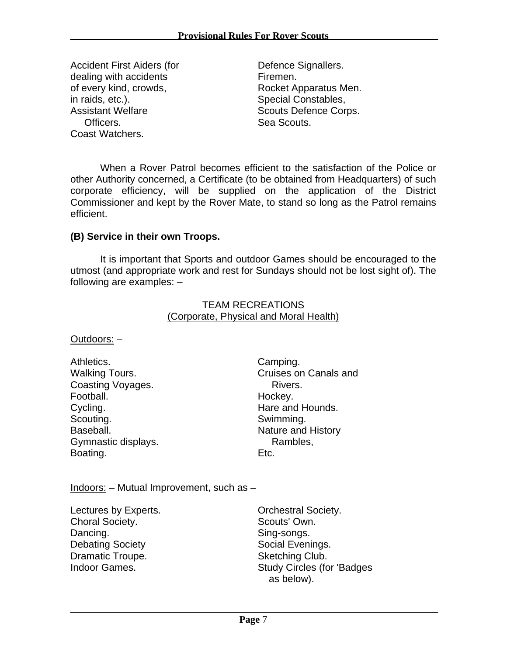Accident First Aiders (for Defence Signallers. dealing with accidents **Firmen**. of every kind, crowds, and research Rocket Apparatus Men. in raids, etc.).<br>
Assistant Welfare **South Scouts Defence Cord**<br>
Scouts Defence Cord Officers. Sea Scouts. Coast Watchers.

Scouts Defence Corps.

When a Rover Patrol becomes efficient to the satisfaction of the Police or other Authority concerned, a Certificate (to be obtained from Headquarters) of such corporate efficiency, will be supplied on the application of the District Commissioner and kept by the Rover Mate, to stand so long as the Patrol remains efficient.

#### **(B) Service in their own Troops.**

It is important that Sports and outdoor Games should be encouraged to the utmost (and appropriate work and rest for Sundays should not be lost sight of). The following are examples: –

#### TEAM RECREATIONS (Corporate, Physical and Moral Health)

Outdoors: –

| Athletics.            | Camping.                  |
|-----------------------|---------------------------|
| <b>Walking Tours.</b> | Cruises on Canals and     |
| Coasting Voyages.     | Rivers.                   |
| Football.             | Hockey.                   |
| Cycling.              | Hare and Hounds.          |
| Scouting.             | Swimming.                 |
| Baseball.             | <b>Nature and History</b> |
| Gymnastic displays.   | Rambles,                  |
| Boating.              | Etc.                      |

Indoors: – Mutual Improvement, such as –

Lectures by Experts. **Experts.** Orchestral Society. Choral Society. Scouts' Own. Dancing. Sing-songs. Debating Society **Social Evenings.** Social Evenings. Dramatic Troupe. Sketching Club.

Indoor Games. Study Circles (for 'Badges as below).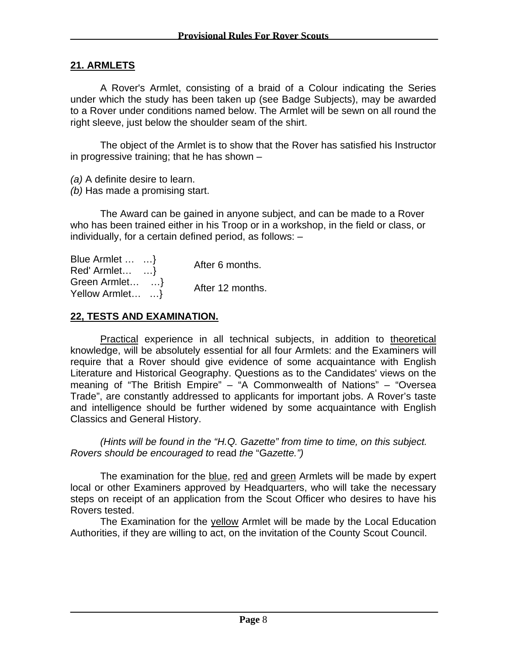#### **21. ARMLETS**

A Rover's Armlet, consisting of a braid of a Colour indicating the Series under which the study has been taken up (see Badge Subjects), may be awarded to a Rover under conditions named below. The Armlet will be sewn on all round the right sleeve, just below the shoulder seam of the shirt.

The object of the Armlet is to show that the Rover has satisfied his Instructor in progressive training; that he has shown –

*(a)* A definite desire to learn.

*(b)* Has made a promising start.

The Award can be gained in anyone subject, and can be made to a Rover who has been trained either in his Troop or in a workshop, in the field or class, or individually, for a certain defined period, as follows: –

| Blue Armlet   } | After 6 months.  |
|-----------------|------------------|
| $Red'$ Armlet } |                  |
| Green Armlet    | After 12 months. |
| Yellow Armlet } |                  |

#### **22, TESTS AND EXAMINATION.**

Practical experience in all technical subjects, in addition to theoretical knowledge, will be absolutely essential for all four Armlets: and the Examiners will require that a Rover should give evidence of some acquaintance with English Literature and Historical Geography. Questions as to the Candidates' views on the meaning of "The British Empire" – "A Commonwealth of Nations" – "Oversea Trade", are constantly addressed to applicants for important jobs. A Rover's taste and intelligence should be further widened by some acquaintance with English Classics and General History.

*(Hints will be found in the "H.Q. Gazette" from time to time, on this subject. Rovers should be encouraged to* read *the* "G*azette.")* 

The examination for the blue, red and green Armlets will be made by expert local or other Examiners approved by Headquarters, who will take the necessary steps on receipt of an application from the Scout Officer who desires to have his Rovers tested.

The Examination for the *yellow* Armlet will be made by the Local Education Authorities, if they are willing to act, on the invitation of the County Scout Council.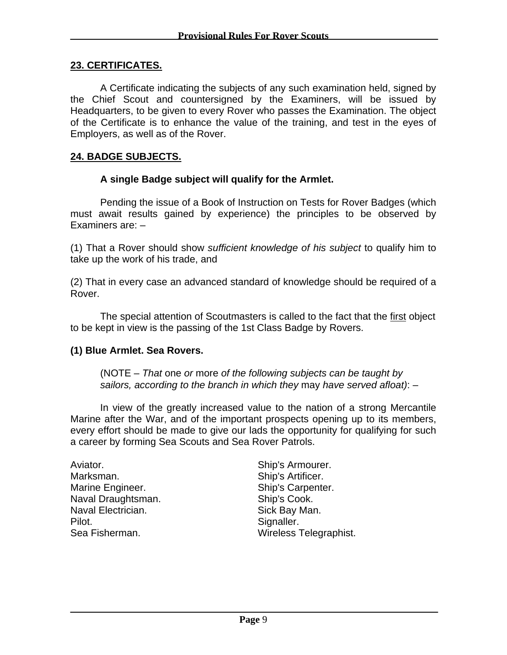#### **23. CERTIFICATES.**

A Certificate indicating the subjects of any such examination held, signed by the Chief Scout and countersigned by the Examiners, will be issued by Headquarters, to be given to every Rover who passes the Examination. The object of the Certificate is to enhance the value of the training, and test in the eyes of Employers, as well as of the Rover.

#### **24. BADGE SUBJECTS.**

#### **A single Badge subject will qualify for the Armlet.**

Pending the issue of a Book of Instruction on Tests for Rover Badges (which must await results gained by experience) the principles to be observed by Examiners are: –

(1) That a Rover should show *sufficient knowledge of his subject* to qualify him to take up the work of his trade, and

(2) That in every case an advanced standard of knowledge should be required of a Rover.

The special attention of Scoutmasters is called to the fact that the first object to be kept in view is the passing of the 1st Class Badge by Rovers.

#### **(1) Blue Armlet. Sea Rovers.**

(NOTE – *That* one *or* more *of the following subjects can be taught by sailors, according to the branch in which they* may *have served afloat)*: –

In view of the greatly increased value to the nation of a strong Mercantile Marine after the War, and of the important prospects opening up to its members, every effort should be made to give our lads the opportunity for qualifying for such a career by forming Sea Scouts and Sea Rover Patrols.

Aviator. **Ship's Armourer.** Marksman. Ship's Artificer. Marine Engineer. Ship's Carpenter. Naval Draughtsman. Ship's Cook. Naval Electrician. **Sick Bay Man.** Sick Bay Man. Pilot. Signaller.

Sea Fisherman. Wireless Telegraphist.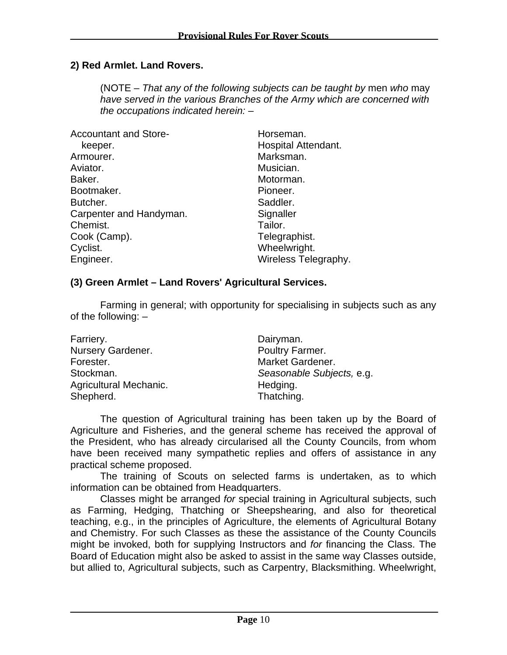#### **2) Red Armlet. Land Rovers.**

(NOTE – *That any of the following subjects can be taught by* men *who* may *have served in the various Branches of the Army which are concerned with the occupations indicated herein:* –

| <b>Accountant and Store-</b> | Horseman.                  |
|------------------------------|----------------------------|
| keeper.                      | <b>Hospital Attendant.</b> |
| Armourer.                    | Marksman.                  |
| Aviator.                     | Musician.                  |
| Baker.                       | Motorman.                  |
| Bootmaker.                   | Pioneer.                   |
| Butcher.                     | Saddler.                   |
| Carpenter and Handyman.      | Signaller                  |
| Chemist.                     | Tailor.                    |
| Cook (Camp).                 | Telegraphist.              |
| Cyclist.                     | Wheelwright.               |
| Engineer.                    | Wireless Telegraphy.       |

#### **(3) Green Armlet – Land Rovers' Agricultural Services.**

Farming in general; with opportunity for specialising in subjects such as any of the following: –

| Farriery.              | Dairyman.                 |
|------------------------|---------------------------|
| Nursery Gardener.      | Poultry Farmer.           |
| Forester.              | Market Gardener.          |
| Stockman.              | Seasonable Subjects, e.g. |
| Agricultural Mechanic. | Hedging.                  |
| Shepherd.              | Thatching.                |

The question of Agricultural training has been taken up by the Board of Agriculture and Fisheries, and the general scheme has received the approval of the President, who has already circularised all the County Councils, from whom have been received many sympathetic replies and offers of assistance in any practical scheme proposed.

The training of Scouts on selected farms is undertaken, as to which information can be obtained from Headquarters.

Classes might be arranged *for* special training in Agricultural subjects, such as Farming, Hedging, Thatching or Sheepshearing, and also for theoretical teaching, e.g., in the principles of Agriculture, the elements of Agricultural Botany and Chemistry. For such Classes as these the assistance of the County Councils might be invoked, both for supplying Instructors and *for* financing the Class. The Board of Education might also be asked to assist in the same way Classes outside, but allied to, Agricultural subjects, such as Carpentry, Blacksmithing. Wheelwright,